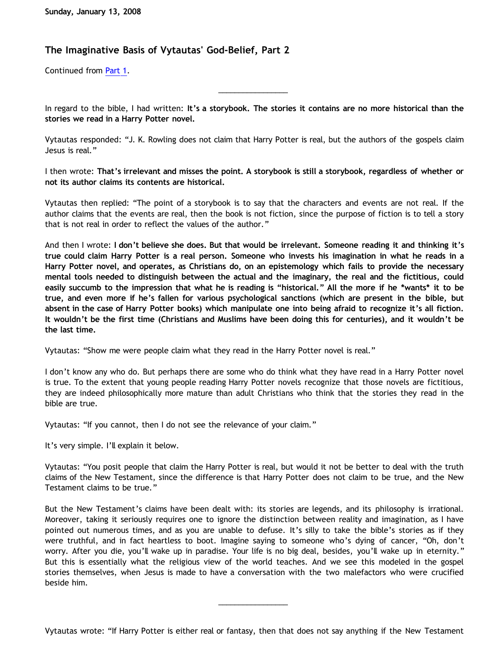## **The Imaginative Basis of Vytautas' God-Belief, Part 2**

Continued from [Part 1.](http://bahnsenburner.blogspot.com/2008/01/imaginative-basis-of-vytautas-god.html)

In regard to the bible, I had written: **It's a storybook. The stories it contains are no more historical than the stories we read in a Harry Potter novel.**

\_\_\_\_\_\_\_\_\_\_\_\_\_\_\_\_\_

Vytautas responded: "J. K. Rowling does not claim that Harry Potter is real, but the authors of the gospels claim Jesus is real."

I then wrote: **That's irrelevant and misses the point. A storybook is still a storybook, regardless of whether or not its author claims its contents are historical.**

Vytautas then replied: "The point of a storybook is to say that the characters and events are not real. If the author claims that the events are real, then the book is not fiction, since the purpose of fiction is to tell a story that is not real in order to reflect the values of the author."

And then I wrote: **I don't believe she does. But that would be irrelevant. Someone reading it and thinking it's true could claim Harry Potter is a real person. Someone who invests his imagination in what he reads in a Harry Potter novel, and operates, as Christians do, on an epistemology which fails to provide the necessary mental tools needed to distinguish between the actual and the imaginary, the real and the fictitious, could easily succumb to the impression that what he is reading is "historical." All the more if he \*wants\* it to be true, and even more if he's fallen for various psychological sanctions (which are present in the bible, but absent in the case of Harry Potter books) which manipulate one into being afraid to recognize it's all fiction. It wouldn't be the first time (Christians and Muslims have been doing this for centuries), and it wouldn't be the last time.**

Vytautas: "Show me were people claim what they read in the Harry Potter novel is real."

I don't know any who do. But perhaps there are some who do think what they have read in a Harry Potter novel is true. To the extent that young people reading Harry Potter novels recognize that those novels are fictitious, they are indeed philosophically more mature than adult Christians who think that the stories they read in the bible are true.

Vytautas: "If you cannot, then I do not see the relevance of your claim."

It's very simple. I'll explain it below.

Vytautas: "You posit people that claim the Harry Potter is real, but would it not be better to deal with the truth claims of the New Testament, since the difference is that Harry Potter does not claim to be true, and the New Testament claims to be true."

But the New Testament's claims have been dealt with: its stories are legends, and its philosophy is irrational. Moreover, taking it seriously requires one to ignore the distinction between reality and imagination, as I have pointed out numerous times, and as you are unable to defuse. It's silly to take the bible's stories as if they were truthful, and in fact heartless to boot. Imagine saying to someone who's dying of cancer, "Oh, don't worry. After you die, you'll wake up in paradise. Your life is no big deal, besides, you'll wake up in eternity." But this is essentially what the religious view of the world teaches. And we see this modeled in the gospel stories themselves, when Jesus is made to have a conversation with the two malefactors who were crucified beside him.

Vytautas wrote: "If Harry Potter is either real or fantasy, then that does not say anything if the New Testament

\_\_\_\_\_\_\_\_\_\_\_\_\_\_\_\_\_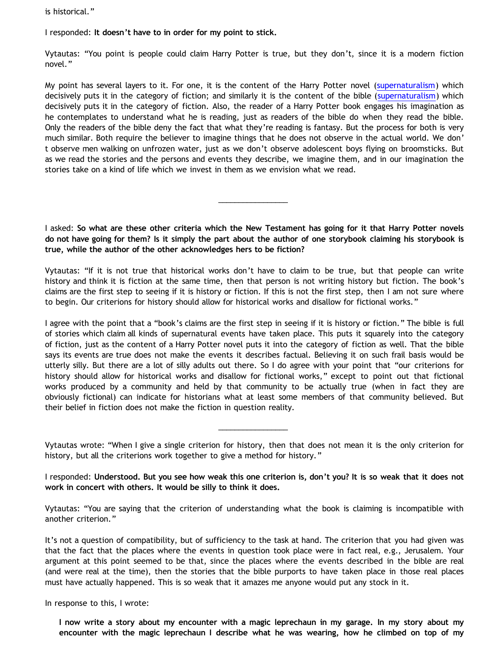is historical."

I responded: **It doesn't have to in order for my point to stick.**

Vytautas: "You point is people could claim Harry Potter is true, but they don't, since it is a modern fiction novel."

My point has several layers to it. For one, it is the content of the Harry Potter novel ([supernaturalism](http://www.geocities.com/katholon/Bahnsen_Supernatural.htm)) which decisively puts it in the category of fiction; and similarly it is the content of the bible ([supernaturalism](http://www.geocities.com/katholon/Bahnsen_Supernatural.htm)) which decisively puts it in the category of fiction. Also, the reader of a Harry Potter book engages his imagination as he contemplates to understand what he is reading, just as readers of the bible do when they read the bible. Only the readers of the bible deny the fact that what they're reading is fantasy. But the process for both is very much similar. Both require the believer to imagine things that he does not observe in the actual world. We don' t observe men walking on unfrozen water, just as we don't observe adolescent boys flying on broomsticks. But as we read the stories and the persons and events they describe, we imagine them, and in our imagination the stories take on a kind of life which we invest in them as we envision what we read.

I asked: **So what are these other criteria which the New Testament has going for it that Harry Potter novels do not have going for them? Is it simply the part about the author of one storybook claiming his storybook is true, while the author of the other acknowledges hers to be fiction?**

\_\_\_\_\_\_\_\_\_\_\_\_\_\_\_\_\_

Vytautas: "If it is not true that historical works don't have to claim to be true, but that people can write history and think it is fiction at the same time, then that person is not writing history but fiction. The book's claims are the first step to seeing if it is history or fiction. If this is not the first step, then I am not sure where to begin. Our criterions for history should allow for historical works and disallow for fictional works."

I agree with the point that a "book's claims are the first step in seeing if it is history or fiction." The bible is full of stories which claim all kinds of supernatural events have taken place. This puts it squarely into the category of fiction, just as the content of a Harry Potter novel puts it into the category of fiction as well. That the bible says its events are true does not make the events it describes factual. Believing it on such frail basis would be utterly silly. But there are a lot of silly adults out there. So I do agree with your point that "our criterions for history should allow for historical works and disallow for fictional works," except to point out that fictional works produced by a community and held by that community to be actually true (when in fact they are obviously fictional) can indicate for historians what at least some members of that community believed. But their belief in fiction does not make the fiction in question reality.

Vytautas wrote: "When I give a single criterion for history, then that does not mean it is the only criterion for history, but all the criterions work together to give a method for history."

\_\_\_\_\_\_\_\_\_\_\_\_\_\_\_\_\_

I responded: **Understood. But you see how weak this one criterion is, don't you? It is so weak that it does not work in concert with others. It would be silly to think it does.**

Vytautas: "You are saying that the criterion of understanding what the book is claiming is incompatible with another criterion."

It's not a question of compatibility, but of sufficiency to the task at hand. The criterion that you had given was that the fact that the places where the events in question took place were in fact real, e.g., Jerusalem. Your argument at this point seemed to be that, since the places where the events described in the bible are real (and were real at the time), then the stories that the bible purports to have taken place in those real places must have actually happened. This is so weak that it amazes me anyone would put any stock in it.

In response to this, I wrote:

**I now write a story about my encounter with a magic leprechaun in my garage. In my story about my encounter with the magic leprechaun I describe what he was wearing, how he climbed on top of my**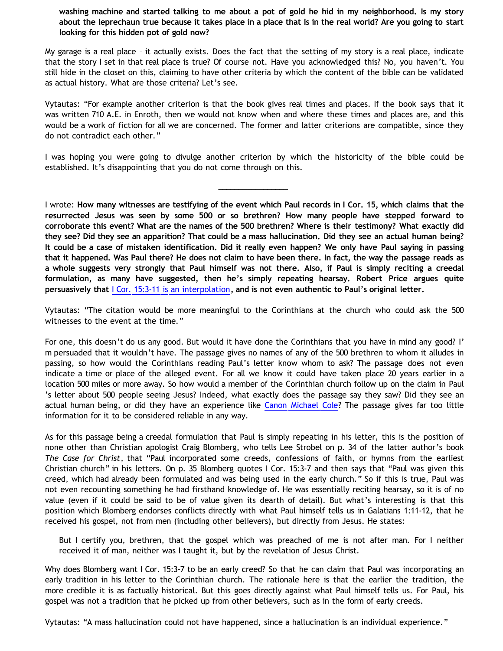**washing machine and started talking to me about a pot of gold he hid in my neighborhood. Is my story about the leprechaun true because it takes place in a place that is in the real world? Are you going to start looking for this hidden pot of gold now?**

My garage is a real place – it actually exists. Does the fact that the setting of my story is a real place, indicate that the story I set in that real place is true? Of course not. Have you acknowledged this? No, you haven't. You still hide in the closet on this, claiming to have other criteria by which the content of the bible can be validated as actual history. What are those criteria? Let's see.

Vytautas: "For example another criterion is that the book gives real times and places. If the book says that it was written 710 A.E. in Enroth, then we would not know when and where these times and places are, and this would be a work of fiction for all we are concerned. The former and latter criterions are compatible, since they do not contradict each other."

I was hoping you were going to divulge another criterion by which the historicity of the bible could be established. It's disappointing that you do not come through on this.

\_\_\_\_\_\_\_\_\_\_\_\_\_\_\_\_\_

I wrote: **How many witnesses are testifying of the event which Paul records in I Cor. 15, which claims that the resurrected Jesus was seen by some 500 or so brethren? How many people have stepped forward to corroborate this event? What are the names of the 500 brethren? Where is their testimony? What exactly did they see? Did they see an apparition? That could be a mass hallucination. Did they see an actual human being? It could be a case of mistaken identification. Did it really even happen? We only have Paul saying in passing that it happened. Was Paul there? He does not claim to have been there. In fact, the way the passage reads as a whole suggests very strongly that Paul himself was not there. Also, if Paul is simply reciting a creedal formulation, as many have suggested, then he's simply repeating hearsay. Robert Price argues quite persuasively that** [I Cor. 15:3-11 is an interpolation](http://www.infidels.org/library/modern/robert_price/apocrypha.html)**, and is not even authentic to Paul's original letter.**

Vytautas: "The citation would be more meaningful to the Corinthians at the church who could ask the 500 witnesses to the event at the time."

For one, this doesn't do us any good. But would it have done the Corinthians that you have in mind any good? I' m persuaded that it wouldn't have. The passage gives no names of any of the 500 brethren to whom it alludes in passing, so how would the Corinthians reading Paul's letter know whom to ask? The passage does not even indicate a time or place of the alleged event. For all we know it could have taken place 20 years earlier in a location 500 miles or more away. So how would a member of the Corinthian church follow up on the claim in Paul 's letter about 500 people seeing Jesus? Indeed, what exactly does the passage say they saw? Did they see an actual human being, or did they have an experience like [Canon Michael Cole](http://bahnsenburner.blogspot.com/2006/06/carr-vs-cole.html)? The passage gives far too little information for it to be considered reliable in any way.

As for this passage being a creedal formulation that Paul is simply repeating in his letter, this is the position of none other than Christian apologist Craig Blomberg, who tells Lee Strobel on p. 34 of the latter author's book *The Case for Christ*, that "Paul incorporated some creeds, confessions of faith, or hymns from the earliest Christian church" in his letters. On p. 35 Blomberg quotes I Cor. 15:3-7 and then says that "Paul was given this creed, which had already been formulated and was being used in the early church." So if this is true, Paul was not even recounting something he had firsthand knowledge of. He was essentially reciting hearsay, so it is of no value (even if it could be said to be of value given its dearth of detail). But what's interesting is that this position which Blomberg endorses conflicts directly with what Paul himself tells us in Galatians 1:11-12, that he received his gospel, not from men (including other believers), but directly from Jesus. He states:

But I certify you, brethren, that the gospel which was preached of me is not after man. For I neither received it of man, neither was I taught it, but by the revelation of Jesus Christ.

Why does Blomberg want I Cor. 15:3-7 to be an early creed? So that he can claim that Paul was incorporating an early tradition in his letter to the Corinthian church. The rationale here is that the earlier the tradition, the more credible it is as factually historical. But this goes directly against what Paul himself tells us. For Paul, his gospel was not a tradition that he picked up from other believers, such as in the form of early creeds.

Vytautas: "A mass hallucination could not have happened, since a hallucination is an individual experience."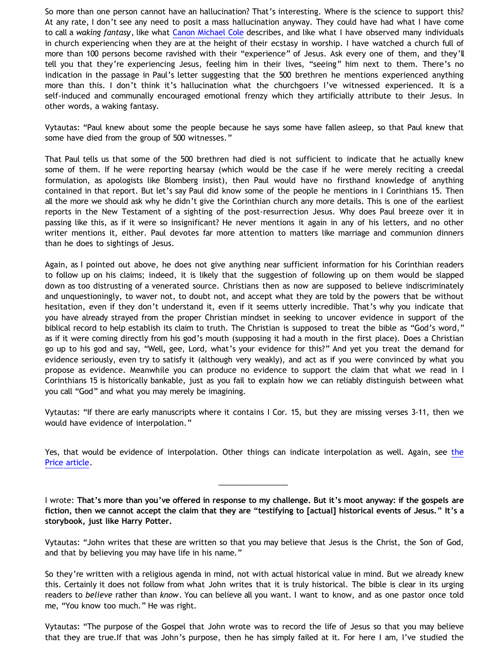So more than one person cannot have an hallucination? That's interesting. Where is the science to support this? At any rate, I don't see any need to posit a mass hallucination anyway. They could have had what I have come to call a *waking fantasy*, like what [Canon Michael Cole](http://bahnsenburner.blogspot.com/2006/06/carr-vs-cole.html) describes, and like what I have observed many individuals in church experiencing when they are at the height of their ecstasy in worship. I have watched a church full of more than 100 persons become ravished with their "experience" of Jesus. Ask every one of them, and they'll tell you that they're experiencing Jesus, feeling him in their lives, "seeing" him next to them. There's no indication in the passage in Paul's letter suggesting that the 500 brethren he mentions experienced anything more than this. I don't think it's hallucination what the churchgoers I've witnessed experienced. It is a self-induced and communally encouraged emotional frenzy which they artificially attribute to their Jesus. In other words, a waking fantasy.

Vytautas: "Paul knew about some the people because he says some have fallen asleep, so that Paul knew that some have died from the group of 500 witnesses."

That Paul tells us that some of the 500 brethren had died is not sufficient to indicate that he actually knew some of them. If he were reporting hearsay (which would be the case if he were merely reciting a creedal formulation, as apologists like Blomberg insist), then Paul would have no firsthand knowledge of anything contained in that report. But let's say Paul did know some of the people he mentions in I Corinthians 15. Then all the more we should ask why he didn't give the Corinthian church any more details. This is one of the earliest reports in the New Testament of a sighting of the post-resurrection Jesus. Why does Paul breeze over it in passing like this, as if it were so insignificant? He never mentions it again in any of his letters, and no other writer mentions it, either. Paul devotes far more attention to matters like marriage and communion dinners than he does to sightings of Jesus.

Again, as I pointed out above, he does not give anything near sufficient information for his Corinthian readers to follow up on his claims; indeed, it is likely that the suggestion of following up on them would be slapped down as too distrusting of a venerated source. Christians then as now are supposed to believe indiscriminately and unquestioningly, to waver not, to doubt not, and accept what they are told by the powers that be without hesitation, even if they don't understand it, even if it seems utterly incredible. That's why you indicate that you have already strayed from the proper Christian mindset in seeking to uncover evidence in support of the biblical record to help establish its claim to truth. The Christian is supposed to treat the bible as "God's word," as if it were coming directly from his god's mouth (supposing it had a mouth in the first place). Does a Christian go up to his god and say, "Well, gee, Lord, what's your evidence for this?" And yet you treat the demand for evidence seriously, even try to satisfy it (although very weakly), and act as if you were convinced by what you propose as evidence. Meanwhile you can produce no evidence to support the claim that what we read in I Corinthians 15 is historically bankable, just as you fail to explain how we can reliably distinguish between what you call "God" and what you may merely be imagining.

Vytautas: "If there are early manuscripts where it contains I Cor. 15, but they are missing verses 3-11, then we would have evidence of interpolation."

Yes, that would be evidence of interpolation. O[the](http://www.infidels.org/library/modern/robert_price/apocrypha.html)r things can indicate interpolation as well. Again, see the [Price article](http://www.infidels.org/library/modern/robert_price/apocrypha.html).

\_\_\_\_\_\_\_\_\_\_\_\_\_\_\_\_\_

I wrote: **That's more than you've offered in response to my challenge. But it's moot anyway: if the gospels are fiction, then we cannot accept the claim that they are "testifying to [actual] historical events of Jesus." It's a storybook, just like Harry Potter.**

Vytautas: "John writes that these are written so that you may believe that Jesus is the Christ, the Son of God, and that by believing you may have life in his name."

So they're written with a religious agenda in mind, not with actual historical value in mind. But we already knew this. Certainly it does not follow from what John writes that it is truly historical. The bible is clear in its urging readers to *believe* rather than *know*. You can believe all you want. I want to know, and as one pastor once told me, "You know too much." He was right.

Vytautas: "The purpose of the Gospel that John wrote was to record the life of Jesus so that you may believe that they are true.If that was John's purpose, then he has simply failed at it. For here I am, I've studied the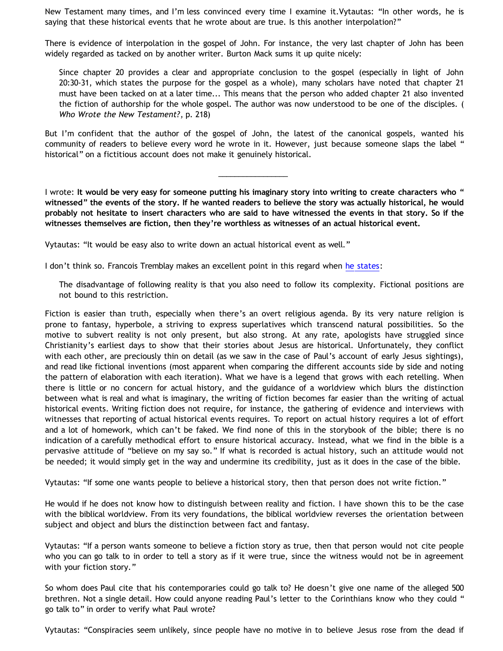New Testament many times, and I'm less convinced every time I examine it.Vytautas: "In other words, he is saying that these historical events that he wrote about are true. Is this another interpolation?"

There is evidence of interpolation in the gospel of John. For instance, the very last chapter of John has been widely regarded as tacked on by another writer. Burton Mack sums it up quite nicely:

Since chapter 20 provides a clear and appropriate conclusion to the gospel (especially in light of John 20:30-31, which states the purpose for the gospel as a whole), many scholars have noted that chapter 21 must have been tacked on at a later time... This means that the person who added chapter 21 also invented the fiction of authorship for the whole gospel. The author was now understood to be one of the disciples. ( *Who Wrote the New Testament?*, p. 218)

But I'm confident that the author of the gospel of John, the latest of the canonical gospels, wanted his community of readers to believe every word he wrote in it. However, just because someone slaps the label " historical" on a fictitious account does not make it genuinely historical.

\_\_\_\_\_\_\_\_\_\_\_\_\_\_\_\_\_

I wrote: **It would be very easy for someone putting his imaginary story into writing to create characters who " witnessed" the events of the story. If he wanted readers to believe the story was actually historical, he would probably not hesitate to insert characters who are said to have witnessed the events in that story. So if the witnesses themselves are fiction, then they're worthless as witnesses of an actual historical event.**

Vytautas: "It would be easy also to write down an actual historical event as well."

I don't think so. Francois Tremblay makes an excellent point in this regard when [he states:](http://www.objectivethought.com/apologetics/debateaxian.html)

The disadvantage of following reality is that you also need to follow its complexity. Fictional positions are not bound to this restriction.

Fiction is easier than truth, especially when there's an overt religious agenda. By its very nature religion is prone to fantasy, hyperbole, a striving to express superlatives which transcend natural possibilities. So the motive to subvert reality is not only present, but also strong. At any rate, apologists have struggled since Christianity's earliest days to show that their stories about Jesus are historical. Unfortunately, they conflict with each other, are preciously thin on detail (as we saw in the case of Paul's account of early Jesus sightings), and read like fictional inventions (most apparent when comparing the different accounts side by side and noting the pattern of elaboration with each iteration). What we have is a legend that grows with each retelling. When there is little or no concern for actual history, and the guidance of a worldview which blurs the distinction between what is real and what is imaginary, the writing of fiction becomes far easier than the writing of actual historical events. Writing fiction does not require, for instance, the gathering of evidence and interviews with witnesses that reporting of actual historical events requires. To report on actual history requires a lot of effort and a lot of homework, which can't be faked. We find none of this in the storybook of the bible; there is no indication of a carefully methodical effort to ensure historical accuracy. Instead, what we find in the bible is a pervasive attitude of "believe on my say so." If what is recorded is actual history, such an attitude would not be needed; it would simply get in the way and undermine its credibility, just as it does in the case of the bible.

Vytautas: "If some one wants people to believe a historical story, then that person does not write fiction."

He would if he does not know how to distinguish between reality and fiction. I have shown this to be the case with the biblical worldview. From its very foundations, the biblical worldview reverses the orientation between subject and object and blurs the distinction between fact and fantasy.

Vytautas: "If a person wants someone to believe a fiction story as true, then that person would not cite people who you can go talk to in order to tell a story as if it were true, since the witness would not be in agreement with your fiction story."

So whom does Paul cite that his contemporaries could go talk to? He doesn't give one name of the alleged 500 brethren. Not a single detail. How could anyone reading Paul's letter to the Corinthians know who they could " go talk to" in order to verify what Paul wrote?

Vytautas: "Conspiracies seem unlikely, since people have no motive in to believe Jesus rose from the dead if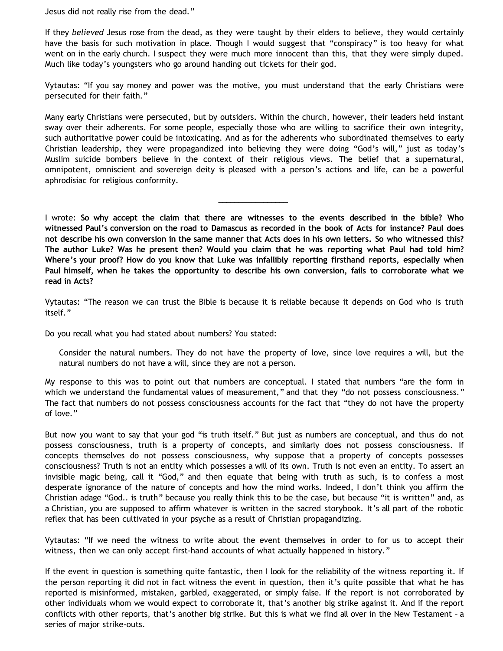Jesus did not really rise from the dead."

If they *believed* Jesus rose from the dead, as they were taught by their elders to believe, they would certainly have the basis for such motivation in place. Though I would suggest that "conspiracy" is too heavy for what went on in the early church. I suspect they were much more innocent than this, that they were simply duped. Much like today's youngsters who go around handing out tickets for their god.

Vytautas: "If you say money and power was the motive, you must understand that the early Christians were persecuted for their faith."

Many early Christians were persecuted, but by outsiders. Within the church, however, their leaders held instant sway over their adherents. For some people, especially those who are willing to sacrifice their own integrity, such authoritative power could be intoxicating. And as for the adherents who subordinated themselves to early Christian leadership, they were propagandized into believing they were doing "God's will," just as today's Muslim suicide bombers believe in the context of their religious views. The belief that a supernatural, omnipotent, omniscient and sovereign deity is pleased with a person's actions and life, can be a powerful aphrodisiac for religious conformity.

I wrote: **So why accept the claim that there are witnesses to the events described in the bible? Who witnessed Paul's conversion on the road to Damascus as recorded in the book of Acts for instance? Paul does not describe his own conversion in the same manner that Acts does in his own letters. So who witnessed this? The author Luke? Was he present then? Would you claim that he was reporting what Paul had told him? Where's your proof? How do you know that Luke was infallibly reporting firsthand reports, especially when Paul himself, when he takes the opportunity to describe his own conversion, fails to corroborate what we read in Acts?**

\_\_\_\_\_\_\_\_\_\_\_\_\_\_\_\_\_

Vytautas: "The reason we can trust the Bible is because it is reliable because it depends on God who is truth itself."

Do you recall what you had stated about numbers? You stated:

Consider the natural numbers. They do not have the property of love, since love requires a will, but the natural numbers do not have a will, since they are not a person.

My response to this was to point out that numbers are conceptual. I stated that numbers "are the form in which we understand the fundamental values of measurement," and that they "do not possess consciousness." The fact that numbers do not possess consciousness accounts for the fact that "they do not have the property of love."

But now you want to say that your god "is truth itself." But just as numbers are conceptual, and thus do not possess consciousness, truth is a property of concepts, and similarly does not possess consciousness. If concepts themselves do not possess consciousness, why suppose that a property of concepts possesses consciousness? Truth is not an entity which possesses a will of its own. Truth is not even an entity. To assert an invisible magic being, call it "God," and then equate that being with truth as such, is to confess a most desperate ignorance of the nature of concepts and how the mind works. Indeed, I don't think you affirm the Christian adage "God.. is truth" because you really think this to be the case, but because "it is written" and, as a Christian, you are supposed to affirm whatever is written in the sacred storybook. It's all part of the robotic reflex that has been cultivated in your psyche as a result of Christian propagandizing.

Vytautas: "If we need the witness to write about the event themselves in order to for us to accept their witness, then we can only accept first-hand accounts of what actually happened in history."

If the event in question is something quite fantastic, then I look for the reliability of the witness reporting it. If the person reporting it did not in fact witness the event in question, then it's quite possible that what he has reported is misinformed, mistaken, garbled, exaggerated, or simply false. If the report is not corroborated by other individuals whom we would expect to corroborate it, that's another big strike against it. And if the report conflicts with other reports, that's another big strike. But this is what we find all over in the New Testament – a series of major strike-outs.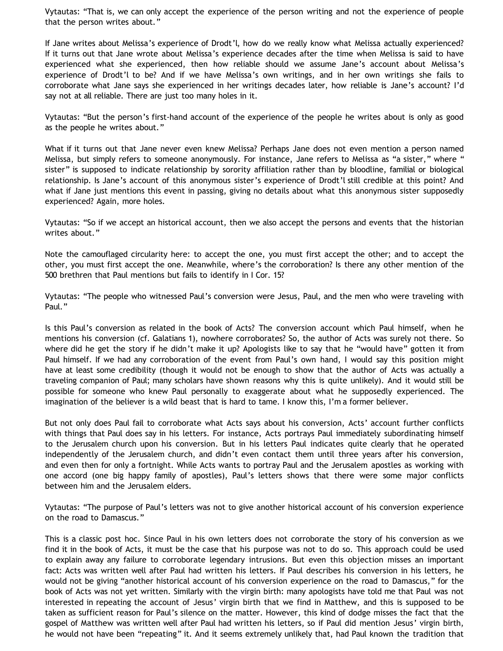Vytautas: "That is, we can only accept the experience of the person writing and not the experience of people that the person writes about."

If Jane writes about Melissa's experience of Drodt'l, how do we really know what Melissa actually experienced? If it turns out that Jane wrote about Melissa's experience decades after the time when Melissa is said to have experienced what she experienced, then how reliable should we assume Jane's account about Melissa's experience of Drodt'l to be? And if we have Melissa's own writings, and in her own writings she fails to corroborate what Jane says she experienced in her writings decades later, how reliable is Jane's account? I'd say not at all reliable. There are just too many holes in it.

Vytautas: "But the person's first-hand account of the experience of the people he writes about is only as good as the people he writes about."

What if it turns out that Jane never even knew Melissa? Perhaps Jane does not even mention a person named Melissa, but simply refers to someone anonymously. For instance, Jane refers to Melissa as "a sister," where " sister" is supposed to indicate relationship by sorority affiliation rather than by bloodline, familial or biological relationship. Is Jane's account of this anonymous sister's experience of Drodt'l still credible at this point? And what if Jane just mentions this event in passing, giving no details about what this anonymous sister supposedly experienced? Again, more holes.

Vytautas: "So if we accept an historical account, then we also accept the persons and events that the historian writes about."

Note the camouflaged circularity here: to accept the one, you must first accept the other; and to accept the other, you must first accept the one. Meanwhile, where's the corroboration? Is there any other mention of the 500 brethren that Paul mentions but fails to identify in I Cor. 15?

Vytautas: "The people who witnessed Paul's conversion were Jesus, Paul, and the men who were traveling with Paul."

Is this Paul's conversion as related in the book of Acts? The conversion account which Paul himself, when he mentions his conversion (cf. Galatians 1), nowhere corroborates? So, the author of Acts was surely not there. So where did he get the story if he didn't make it up? Apologists like to say that he "would have" gotten it from Paul himself. If we had any corroboration of the event from Paul's own hand, I would say this position might have at least some credibility (though it would not be enough to show that the author of Acts was actually a traveling companion of Paul; many scholars have shown reasons why this is quite unlikely). And it would still be possible for someone who knew Paul personally to exaggerate about what he supposedly experienced. The imagination of the believer is a wild beast that is hard to tame. I know this, I'm a former believer.

But not only does Paul fail to corroborate what Acts says about his conversion, Acts' account further conflicts with things that Paul does say in his letters. For instance, Acts portrays Paul immediately subordinating himself to the Jerusalem church upon his conversion. But in his letters Paul indicates quite clearly that he operated independently of the Jerusalem church, and didn't even contact them until three years after his conversion, and even then for only a fortnight. While Acts wants to portray Paul and the Jerusalem apostles as working with one accord (one big happy family of apostles), Paul's letters shows that there were some major conflicts between him and the Jerusalem elders.

Vytautas: "The purpose of Paul's letters was not to give another historical account of his conversion experience on the road to Damascus."

This is a classic post hoc. Since Paul in his own letters does not corroborate the story of his conversion as we find it in the book of Acts, it must be the case that his purpose was not to do so. This approach could be used to explain away any failure to corroborate legendary intrusions. But even this objection misses an important fact: Acts was written well after Paul had written his letters. If Paul describes his conversion in his letters, he would not be giving "another historical account of his conversion experience on the road to Damascus," for the book of Acts was not yet written. Similarly with the virgin birth: many apologists have told me that Paul was not interested in repeating the account of Jesus' virgin birth that we find in Matthew, and this is supposed to be taken as sufficient reason for Paul's silence on the matter. However, this kind of dodge misses the fact that the gospel of Matthew was written well after Paul had written his letters, so if Paul did mention Jesus' virgin birth, he would not have been "repeating" it. And it seems extremely unlikely that, had Paul known the tradition that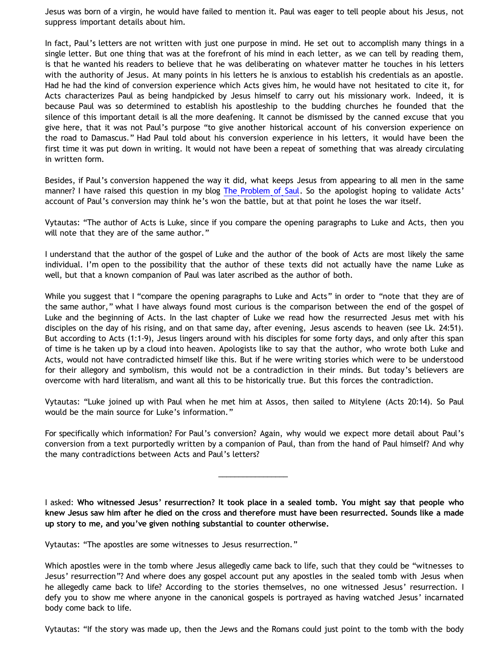Jesus was born of a virgin, he would have failed to mention it. Paul was eager to tell people about his Jesus, not suppress important details about him.

In fact, Paul's letters are not written with just one purpose in mind. He set out to accomplish many things in a single letter. But one thing that was at the forefront of his mind in each letter, as we can tell by reading them, is that he wanted his readers to believe that he was deliberating on whatever matter he touches in his letters with the authority of Jesus. At many points in his letters he is anxious to establish his credentials as an apostle. Had he had the kind of conversion experience which Acts gives him, he would have not hesitated to cite it, for Acts characterizes Paul as being handpicked by Jesus himself to carry out his missionary work. Indeed, it is because Paul was so determined to establish his apostleship to the budding churches he founded that the silence of this important detail is all the more deafening. It cannot be dismissed by the canned excuse that you give here, that it was not Paul's purpose "to give another historical account of his conversion experience on the road to Damascus." Had Paul told about his conversion experience in his letters, it would have been the first time it was put down in writing. It would not have been a repeat of something that was already circulating in written form.

Besides, if Paul's conversion happened the way it did, what keeps Jesus from appearing to all men in the same manner? I have raised this question in my blog [The Problem of Saul.](http://bahnsenburner.blogspot.com/2007/06/problem-of-saul.html) So the apologist hoping to validate Acts' account of Paul's conversion may think he's won the battle, but at that point he loses the war itself.

Vytautas: "The author of Acts is Luke, since if you compare the opening paragraphs to Luke and Acts, then you will note that they are of the same author."

I understand that the author of the gospel of Luke and the author of the book of Acts are most likely the same individual. I'm open to the possibility that the author of these texts did not actually have the name Luke as well, but that a known companion of Paul was later ascribed as the author of both.

While you suggest that I "compare the opening paragraphs to Luke and Acts" in order to "note that they are of the same author," what I have always found most curious is the comparison between the end of the gospel of Luke and the beginning of Acts. In the last chapter of Luke we read how the resurrected Jesus met with his disciples on the day of his rising, and on that same day, after evening, Jesus ascends to heaven (see Lk. 24:51). But according to Acts (1:1-9), Jesus lingers around with his disciples for some forty days, and only after this span of time is he taken up by a cloud into heaven. Apologists like to say that the author, who wrote both Luke and Acts, would not have contradicted himself like this. But if he were writing stories which were to be understood for their allegory and symbolism, this would not be a contradiction in their minds. But today's believers are overcome with hard literalism, and want all this to be historically true. But this forces the contradiction.

Vytautas: "Luke joined up with Paul when he met him at Assos, then sailed to Mitylene (Acts 20:14). So Paul would be the main source for Luke's information."

For specifically which information? For Paul's conversion? Again, why would we expect more detail about Paul's conversion from a text purportedly written by a companion of Paul, than from the hand of Paul himself? And why the many contradictions between Acts and Paul's letters?

\_\_\_\_\_\_\_\_\_\_\_\_\_\_\_\_\_

I asked: **Who witnessed Jesus' resurrection? It took place in a sealed tomb. You might say that people who knew Jesus saw him after he died on the cross and therefore must have been resurrected. Sounds like a made up story to me, and you've given nothing substantial to counter otherwise.**

Vytautas: "The apostles are some witnesses to Jesus resurrection."

Which apostles were in the tomb where Jesus allegedly came back to life, such that they could be "witnesses to Jesus' resurrection"? And where does any gospel account put any apostles in the sealed tomb with Jesus when he allegedly came back to life? According to the stories themselves, no one witnessed Jesus' resurrection. I defy you to show me where anyone in the canonical gospels is portrayed as having watched Jesus' incarnated body come back to life.

Vytautas: "If the story was made up, then the Jews and the Romans could just point to the tomb with the body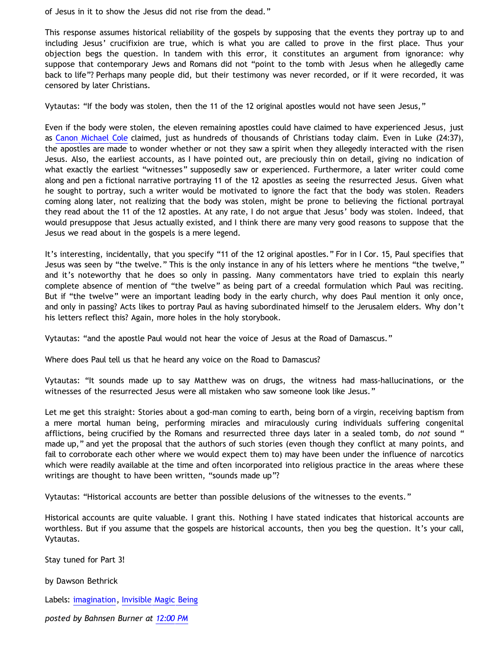of Jesus in it to show the Jesus did not rise from the dead."

This response assumes historical reliability of the gospels by supposing that the events they portray up to and including Jesus' crucifixion are true, which is what you are called to prove in the first place. Thus your objection begs the question. In tandem with this error, it constitutes an argument from ignorance: why suppose that contemporary Jews and Romans did not "point to the tomb with Jesus when he allegedly came back to life"? Perhaps many people did, but their testimony was never recorded, or if it were recorded, it was censored by later Christians.

Vytautas: "If the body was stolen, then the 11 of the 12 original apostles would not have seen Jesus,"

Even if the body were stolen, the eleven remaining apostles could have claimed to have experienced Jesus, just as [Canon Michael Cole](http://bahnsenburner.blogspot.com/2006/06/carr-vs-cole.html) claimed, just as hundreds of thousands of Christians today claim. Even in Luke (24:37), the apostles are made to wonder whether or not they saw a spirit when they allegedly interacted with the risen Jesus. Also, the earliest accounts, as I have pointed out, are preciously thin on detail, giving no indication of what exactly the earliest "witnesses" supposedly saw or experienced. Furthermore, a later writer could come along and pen a fictional narrative portraying 11 of the 12 apostles as seeing the resurrected Jesus. Given what he sought to portray, such a writer would be motivated to ignore the fact that the body was stolen. Readers coming along later, not realizing that the body was stolen, might be prone to believing the fictional portrayal they read about the 11 of the 12 apostles. At any rate, I do not argue that Jesus' body was stolen. Indeed, that would presuppose that Jesus actually existed, and I think there are many very good reasons to suppose that the Jesus we read about in the gospels is a mere legend.

It's interesting, incidentally, that you specify "11 of the 12 original apostles." For in I Cor. 15, Paul specifies that Jesus was seen by "the twelve." This is the only instance in any of his letters where he mentions "the twelve," and it's noteworthy that he does so only in passing. Many commentators have tried to explain this nearly complete absence of mention of "the twelve" as being part of a creedal formulation which Paul was reciting. But if "the twelve" were an important leading body in the early church, why does Paul mention it only once, and only in passing? Acts likes to portray Paul as having subordinated himself to the Jerusalem elders. Why don't his letters reflect this? Again, more holes in the holy storybook.

Vytautas: "and the apostle Paul would not hear the voice of Jesus at the Road of Damascus."

Where does Paul tell us that he heard any voice on the Road to Damascus?

Vytautas: "It sounds made up to say Matthew was on drugs, the witness had mass-hallucinations, or the witnesses of the resurrected Jesus were all mistaken who saw someone look like Jesus."

Let me get this straight: Stories about a god-man coming to earth, being born of a virgin, receiving baptism from a mere mortal human being, performing miracles and miraculously curing individuals suffering congenital afflictions, being crucified by the Romans and resurrected three days later in a sealed tomb, do *not* sound " made up," and yet the proposal that the authors of such stories (even though they conflict at many points, and fail to corroborate each other where we would expect them to) may have been under the influence of narcotics which were readily available at the time and often incorporated into religious practice in the areas where these writings are thought to have been written, "sounds made up"?

Vytautas: "Historical accounts are better than possible delusions of the witnesses to the events."

Historical accounts are quite valuable. I grant this. Nothing I have stated indicates that historical accounts are worthless. But if you assume that the gospels are historical accounts, then you beg the question. It's your call, Vytautas.

Stay tuned for Part 3!

by Dawson Bethrick

Labels: [imagination,](http://bahnsenburner.blogspot.com/search/label/imagination) [Invisible Magic Being](http://bahnsenburner.blogspot.com/search/label/Invisible%20Magic%20Being)

*posted by Bahnsen Burner at [12:00 PM](http://bahnsenburner.blogspot.com/2008/01/imaginative-basis-of-vytautas-god_13.html)*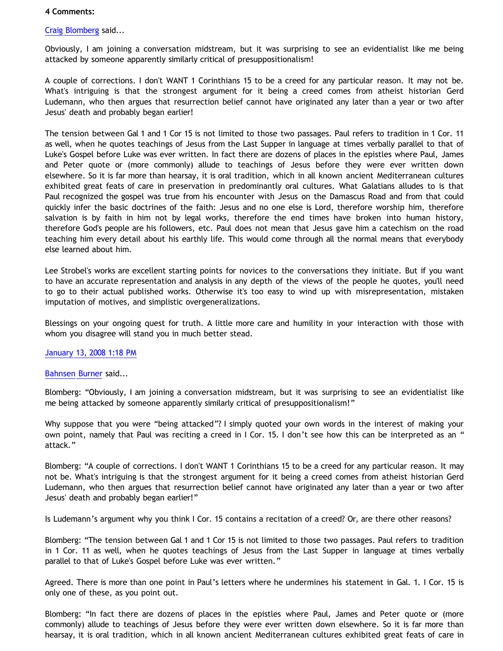## **4 Comments:**

[Craig Blomberg](http://www.blogger.com/profile/12188746177885723565) said...

Obviously, I am joining a conversation midstream, but it was surprising to see an evidentialist like me being attacked by someone apparently similarly critical of presuppositionalism!

A couple of corrections. I don't WANT 1 Corinthians 15 to be a creed for any particular reason. It may not be. What's intriguing is that the strongest argument for it being a creed comes from atheist historian Gerd Ludemann, who then argues that resurrection belief cannot have originated any later than a year or two after Jesus' death and probably began earlier!

The tension between Gal 1 and 1 Cor 15 is not limited to those two passages. Paul refers to tradition in 1 Cor. 11 as well, when he quotes teachings of Jesus from the Last Supper in language at times verbally parallel to that of Luke's Gospel before Luke was ever written. In fact there are dozens of places in the epistles where Paul, James and Peter quote or (more commonly) allude to teachings of Jesus before they were ever written down elsewhere. So it is far more than hearsay, it is oral tradition, which in all known ancient Mediterranean cultures exhibited great feats of care in preservation in predominantly oral cultures. What Galatians alludes to is that Paul recognized the gospel was true from his encounter with Jesus on the Damascus Road and from that could quickly infer the basic doctrines of the faith: Jesus and no one else is Lord, therefore worship him, therefore salvation is by faith in him not by legal works, therefore the end times have broken into human history, therefore God's people are his followers, etc. Paul does not mean that Jesus gave him a catechism on the road teaching him every detail about his earthly life. This would come through all the normal means that everybody else learned about him.

Lee Strobel's works are excellent starting points for novices to the conversations they initiate. But if you want to have an accurate representation and analysis in any depth of the views of the people he quotes, you'll need to go to their actual published works. Otherwise it's too easy to wind up with misrepresentation, mistaken imputation of motives, and simplistic overgeneralizations.

Blessings on your ongoing quest for truth. A little more care and humility in your interaction with those with whom you disagree will stand you in much better stead.

## [January 13, 2008 1:18 PM](http://bahnsenburner.blogspot.com/2008/01/7100431389451391588)

## [Bahnsen Burner](http://www.blogger.com/profile/11030029491768748360) said...

Blomberg: "Obviously, I am joining a conversation midstream, but it was surprising to see an evidentialist like me being attacked by someone apparently similarly critical of presuppositionalism!"

Why suppose that you were "being attacked"? I simply quoted your own words in the interest of making your own point, namely that Paul was reciting a creed in I Cor. 15. I don't see how this can be interpreted as an " attack."

Blomberg: "A couple of corrections. I don't WANT 1 Corinthians 15 to be a creed for any particular reason. It may not be. What's intriguing is that the strongest argument for it being a creed comes from atheist historian Gerd Ludemann, who then argues that resurrection belief cannot have originated any later than a year or two after Jesus' death and probably began earlier!"

Is Ludemann's argument why you think I Cor. 15 contains a recitation of a creed? Or, are there other reasons?

Blomberg: "The tension between Gal 1 and 1 Cor 15 is not limited to those two passages. Paul refers to tradition in 1 Cor. 11 as well, when he quotes teachings of Jesus from the Last Supper in language at times verbally parallel to that of Luke's Gospel before Luke was ever written."

Agreed. There is more than one point in Paul's letters where he undermines his statement in Gal. 1. I Cor. 15 is only one of these, as you point out.

Blomberg: "In fact there are dozens of places in the epistles where Paul, James and Peter quote or (more commonly) allude to teachings of Jesus before they were ever written down elsewhere. So it is far more than hearsay, it is oral tradition, which in all known ancient Mediterranean cultures exhibited great feats of care in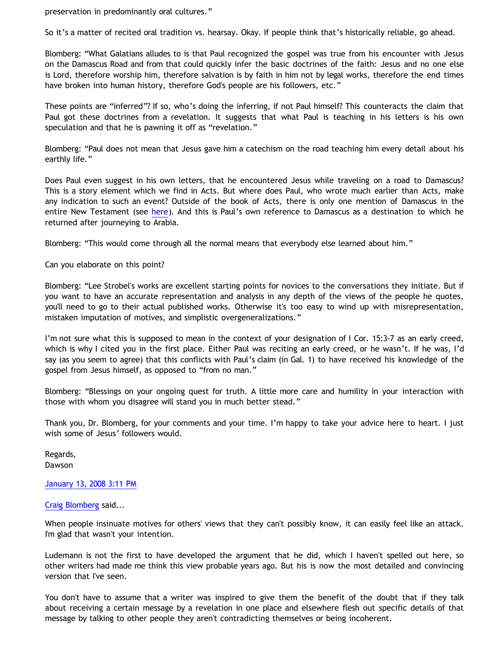preservation in predominantly oral cultures."

So it's a matter of recited oral tradition vs. hearsay. Okay. If people think that's historically reliable, go ahead.

Blomberg: "What Galatians alludes to is that Paul recognized the gospel was true from his encounter with Jesus on the Damascus Road and from that could quickly infer the basic doctrines of the faith: Jesus and no one else is Lord, therefore worship him, therefore salvation is by faith in him not by legal works, therefore the end times have broken into human history, therefore God's people are his followers, etc."

These points are "inferred"? If so, who's doing the inferring, if not Paul himself? This counteracts the claim that Paul got these doctrines from a revelation. It suggests that what Paul is teaching in his letters is his own speculation and that he is pawning it off as "revelation."

Blomberg: "Paul does not mean that Jesus gave him a catechism on the road teaching him every detail about his earthly life."

Does Paul even suggest in his own letters, that he encountered Jesus while traveling on a road to Damascus? This is a story element which we find in Acts. But where does Paul, who wrote much earlier than Acts, make any indication to such an event? Outside of the book of Acts, there is only one mention of Damascus in the entire New Testament (see [here](http://www.biblegateway.com/keyword/?search=damascus&version1=9&searchtype=all&bookset=2)). And this is Paul's own reference to Damascus as a destination to which he returned after journeying to Arabia.

Blomberg: "This would come through all the normal means that everybody else learned about him."

Can you elaborate on this point?

Blomberg: "Lee Strobel's works are excellent starting points for novices to the conversations they initiate. But if you want to have an accurate representation and analysis in any depth of the views of the people he quotes, you'll need to go to their actual published works. Otherwise it's too easy to wind up with misrepresentation, mistaken imputation of motives, and simplistic overgeneralizations."

I'm not sure what this is supposed to mean in the context of your designation of I Cor. 15:3-7 as an early creed, which is why I cited you in the first place. Either Paul was reciting an early creed, or he wasn't. If he was, I'd say (as you seem to agree) that this conflicts with Paul's claim (in Gal. 1) to have received his knowledge of the gospel from Jesus himself, as opposed to "from no man."

Blomberg: "Blessings on your ongoing quest for truth. A little more care and humility in your interaction with those with whom you disagree will stand you in much better stead."

Thank you, Dr. Blomberg, for your comments and your time. I'm happy to take your advice here to heart. I just wish some of Jesus' followers would.

Regards, Dawson

[January 13, 2008 3:11 PM](http://bahnsenburner.blogspot.com/2008/01/357977225342443982)

[Craig Blomberg](http://www.blogger.com/profile/12188746177885723565) said...

When people insinuate motives for others' views that they can't possibly know, it can easily feel like an attack. I'm glad that wasn't your intention.

Ludemann is not the first to have developed the argument that he did, which I haven't spelled out here, so other writers had made me think this view probable years ago. But his is now the most detailed and convincing version that I've seen.

You don't have to assume that a writer was inspired to give them the benefit of the doubt that if they talk about receiving a certain message by a revelation in one place and elsewhere flesh out specific details of that message by talking to other people they aren't contradicting themselves or being incoherent.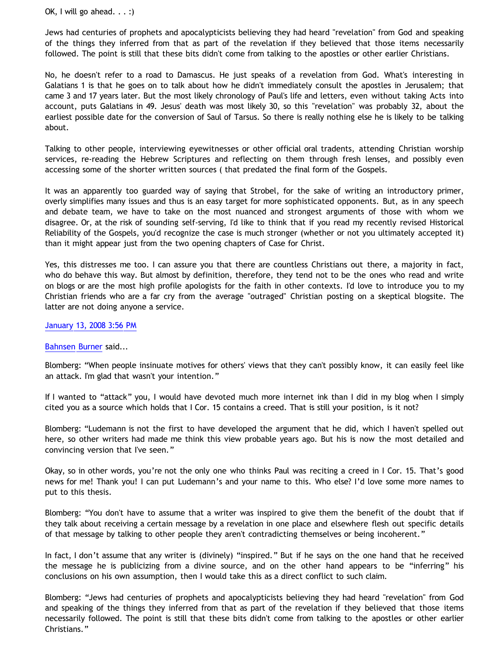OK, I will go ahead.  $\ldots$  :)

Jews had centuries of prophets and apocalypticists believing they had heard "revelation" from God and speaking of the things they inferred from that as part of the revelation if they believed that those items necessarily followed. The point is still that these bits didn't come from talking to the apostles or other earlier Christians.

No, he doesn't refer to a road to Damascus. He just speaks of a revelation from God. What's interesting in Galatians 1 is that he goes on to talk about how he didn't immediately consult the apostles in Jerusalem; that came 3 and 17 years later. But the most likely chronology of Paul's life and letters, even without taking Acts into account, puts Galatians in 49. Jesus' death was most likely 30, so this "revelation" was probably 32, about the earliest possible date for the conversion of Saul of Tarsus. So there is really nothing else he is likely to be talking about.

Talking to other people, interviewing eyewitnesses or other official oral tradents, attending Christian worship services, re-reading the Hebrew Scriptures and reflecting on them through fresh lenses, and possibly even accessing some of the shorter written sources ( that predated the final form of the Gospels.

It was an apparently too guarded way of saying that Strobel, for the sake of writing an introductory primer, overly simplifies many issues and thus is an easy target for more sophisticated opponents. But, as in any speech and debate team, we have to take on the most nuanced and strongest arguments of those with whom we disagree. Or, at the risk of sounding self-serving, I'd like to think that if you read my recently revised Historical Reliability of the Gospels, you'd recognize the case is much stronger (whether or not you ultimately accepted it) than it might appear just from the two opening chapters of Case for Christ.

Yes, this distresses me too. I can assure you that there are countless Christians out there, a majority in fact, who do behave this way. But almost by definition, therefore, they tend not to be the ones who read and write on blogs or are the most high profile apologists for the faith in other contexts. I'd love to introduce you to my Christian friends who are a far cry from the average "outraged" Christian posting on a skeptical blogsite. The latter are not doing anyone a service.

[January 13, 2008 3:56 PM](http://bahnsenburner.blogspot.com/2008/01/261754976697752789)

[Bahnsen Burner](http://www.blogger.com/profile/11030029491768748360) said...

Blomberg: "When people insinuate motives for others' views that they can't possibly know, it can easily feel like an attack. I'm glad that wasn't your intention."

If I wanted to "attack" you, I would have devoted much more internet ink than I did in my blog when I simply cited you as a source which holds that I Cor. 15 contains a creed. That is still your position, is it not?

Blomberg: "Ludemann is not the first to have developed the argument that he did, which I haven't spelled out here, so other writers had made me think this view probable years ago. But his is now the most detailed and convincing version that I've seen."

Okay, so in other words, you're not the only one who thinks Paul was reciting a creed in I Cor. 15. That's good news for me! Thank you! I can put Ludemann's and your name to this. Who else? I'd love some more names to put to this thesis.

Blomberg: "You don't have to assume that a writer was inspired to give them the benefit of the doubt that if they talk about receiving a certain message by a revelation in one place and elsewhere flesh out specific details of that message by talking to other people they aren't contradicting themselves or being incoherent."

In fact, I don't assume that any writer is (divinely) "inspired." But if he says on the one hand that he received the message he is publicizing from a divine source, and on the other hand appears to be "inferring" his conclusions on his own assumption, then I would take this as a direct conflict to such claim.

Blomberg: "Jews had centuries of prophets and apocalypticists believing they had heard "revelation" from God and speaking of the things they inferred from that as part of the revelation if they believed that those items necessarily followed. The point is still that these bits didn't come from talking to the apostles or other earlier Christians."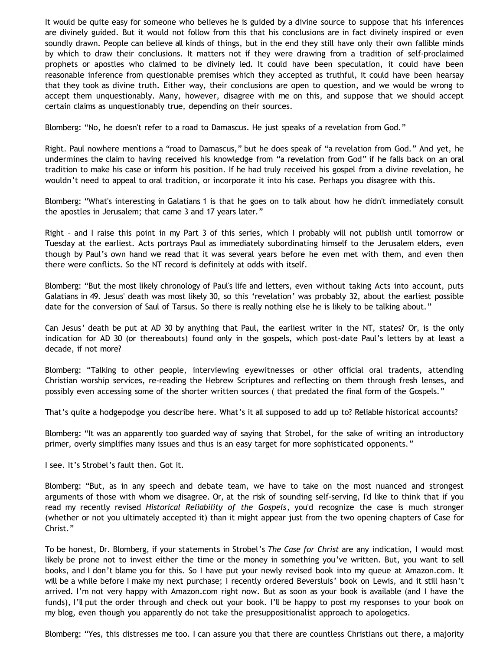It would be quite easy for someone who believes he is guided by a divine source to suppose that his inferences are divinely guided. But it would not follow from this that his conclusions are in fact divinely inspired or even soundly drawn. People can believe all kinds of things, but in the end they still have only their own fallible minds by which to draw their conclusions. It matters not if they were drawing from a tradition of self-proclaimed prophets or apostles who claimed to be divinely led. It could have been speculation, it could have been reasonable inference from questionable premises which they accepted as truthful, it could have been hearsay that they took as divine truth. Either way, their conclusions are open to question, and we would be wrong to accept them unquestionably. Many, however, disagree with me on this, and suppose that we should accept certain claims as unquestionably true, depending on their sources.

Blomberg: "No, he doesn't refer to a road to Damascus. He just speaks of a revelation from God."

Right. Paul nowhere mentions a "road to Damascus," but he does speak of "a revelation from God." And yet, he undermines the claim to having received his knowledge from "a revelation from God" if he falls back on an oral tradition to make his case or inform his position. If he had truly received his gospel from a divine revelation, he wouldn't need to appeal to oral tradition, or incorporate it into his case. Perhaps you disagree with this.

Blomberg: "What's interesting in Galatians 1 is that he goes on to talk about how he didn't immediately consult the apostles in Jerusalem; that came 3 and 17 years later."

Right – and I raise this point in my Part 3 of this series, which I probably will not publish until tomorrow or Tuesday at the earliest. Acts portrays Paul as immediately subordinating himself to the Jerusalem elders, even though by Paul's own hand we read that it was several years before he even met with them, and even then there were conflicts. So the NT record is definitely at odds with itself.

Blomberg: "But the most likely chronology of Paul's life and letters, even without taking Acts into account, puts Galatians in 49. Jesus' death was most likely 30, so this 'revelation' was probably 32, about the earliest possible date for the conversion of Saul of Tarsus. So there is really nothing else he is likely to be talking about."

Can Jesus' death be put at AD 30 by anything that Paul, the earliest writer in the NT, states? Or, is the only indication for AD 30 (or thereabouts) found only in the gospels, which post-date Paul's letters by at least a decade, if not more?

Blomberg: "Talking to other people, interviewing eyewitnesses or other official oral tradents, attending Christian worship services, re-reading the Hebrew Scriptures and reflecting on them through fresh lenses, and possibly even accessing some of the shorter written sources ( that predated the final form of the Gospels."

That's quite a hodgepodge you describe here. What's it all supposed to add up to? Reliable historical accounts?

Blomberg: "It was an apparently too guarded way of saying that Strobel, for the sake of writing an introductory primer, overly simplifies many issues and thus is an easy target for more sophisticated opponents."

I see. It's Strobel's fault then. Got it.

Blomberg: "But, as in any speech and debate team, we have to take on the most nuanced and strongest arguments of those with whom we disagree. Or, at the risk of sounding self-serving, I'd like to think that if you read my recently revised *Historical Reliability of the Gospels*, you'd recognize the case is much stronger (whether or not you ultimately accepted it) than it might appear just from the two opening chapters of Case for Christ."

To be honest, Dr. Blomberg, if your statements in Strobel's *The Case for Christ* are any indication, I would most likely be prone not to invest either the time or the money in something you've written. But, you want to sell books, and I don't blame you for this. So I have put your newly revised book into my queue at Amazon.com. It will be a while before I make my next purchase; I recently ordered Beversluis' book on Lewis, and it still hasn't arrived. I'm not very happy with Amazon.com right now. But as soon as your book is available (and I have the funds), I'll put the order through and check out your book. I'll be happy to post my responses to your book on my blog, even though you apparently do not take the presuppositionalist approach to apologetics.

Blomberg: "Yes, this distresses me too. I can assure you that there are countless Christians out there, a majority